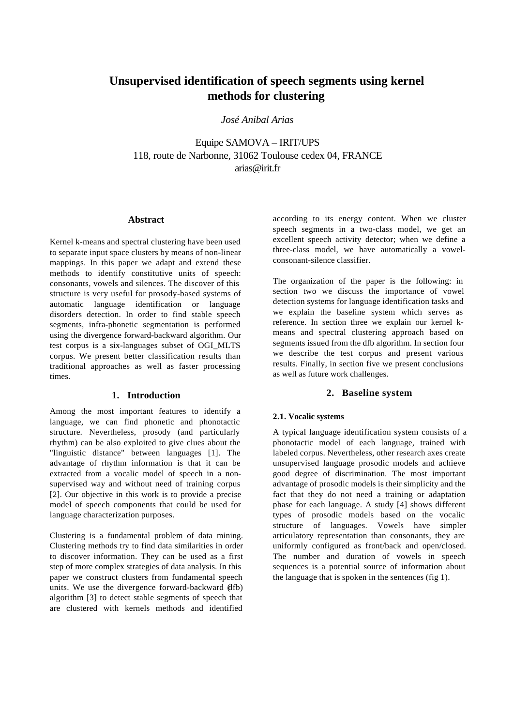# **Unsupervised identification of speech segments using kernel methods for clustering**

*José Anibal Arias*

Equipe SAMOVA – IRIT/UPS 118, route de Narbonne, 31062 Toulouse cedex 04, FRANCE arias@irit.fr

#### **Abstract**

Kernel k-means and spectral clustering have been used to separate input space clusters by means of non-linear mappings. In this paper we adapt and extend these methods to identify constitutive units of speech: consonants, vowels and silences. The discover of this structure is very useful for prosody-based systems of automatic language identification or language disorders detection. In order to find stable speech segments, infra-phonetic segmentation is performed using the divergence forward-backward algorithm. Our test corpus is a six-languages subset of OGI\_MLTS corpus. We present better classification results than traditional approaches as well as faster processing times.

# **1. Introduction**

Among the most important features to identify a language, we can find phonetic and phonotactic structure. Nevertheless, prosody (and particularly rhythm) can be also exploited to give clues about the "linguistic distance" between languages [1]. The advantage of rhythm information is that it can be extracted from a vocalic model of speech in a nonsupervised way and without need of training corpus [2]. Our objective in this work is to provide a precise model of speech components that could be used for language characterization purposes.

Clustering is a fundamental problem of data mining. Clustering methods try to find data similarities in order to discover information. They can be used as a first step of more complex strategies of data analysis. In this paper we construct clusters from fundamental speech units. We use the divergence forward-backward (dfb) algorithm [3] to detect stable segments of speech that are clustered with kernels methods and identified

according to its energy content. When we cluster speech segments in a two-class model, we get an excellent speech activity detector; when we define a three-class model, we have automatically a vowelconsonant-silence classifier.

The organization of the paper is the following: in section two we discuss the importance of vowel detection systems for language identification tasks and we explain the baseline system which serves as reference. In section three we explain our kernel kmeans and spectral clustering approach based on segments issued from the dfb algorithm. In section four we describe the test corpus and present various results. Finally, in section five we present conclusions as well as future work challenges.

# **2. Baseline system**

#### **2.1. Vocalic systems**

A typical language identification system consists of a phonotactic model of each language, trained with labeled corpus. Nevertheless, other research axes create unsupervised language prosodic models and achieve good degree of discrimination. The most important advantage of prosodic models is their simplicity and the fact that they do not need a training or adaptation phase for each language. A study [4] shows different types of prosodic models based on the vocalic structure of languages. Vowels have simpler articulatory representation than consonants, they are uniformly configured as front/back and open/closed. The number and duration of vowels in speech sequences is a potential source of information about the language that is spoken in the sentences (fig 1).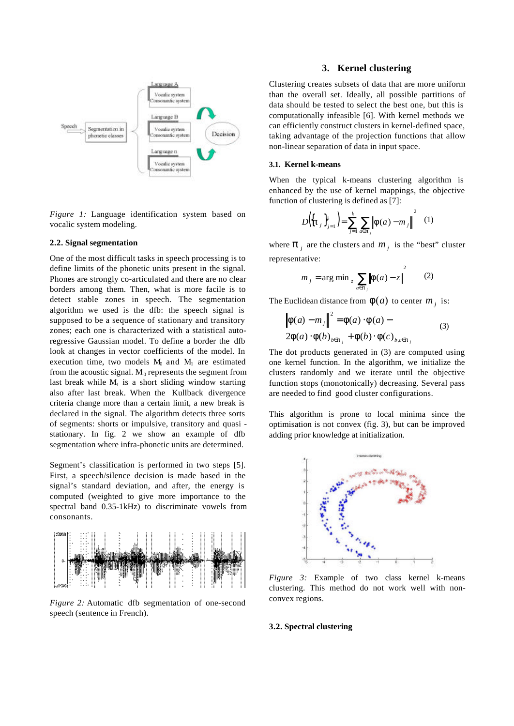

*Figure 1:* Language identification system based on vocalic system modeling.

## **2.2. Signal segmentation**

One of the most difficult tasks in speech processing is to define limits of the phonetic units present in the signal. Phones are strongly co-articulated and there are no clear borders among them. Then, what is more facile is to detect stable zones in speech. The segmentation algorithm we used is the dfb: the speech signal is supposed to be a sequence of stationary and transitory zones; each one is characterized with a statistical autoregressive Gaussian model. To define a border the dfb look at changes in vector coefficients of the model. In execution time, two models  $M_0$  and  $M_1$  are estimated from the acoustic signal.  $M_0$  represents the segment from last break while  $M_1$  is a short sliding window starting also after last break. When the Kullback divergence criteria change more than a certain limit, a new break is declared in the signal. The algorithm detects three sorts of segments: shorts or impulsive, transitory and quasi stationary. In fig. 2 we show an example of dfb segmentation where infra-phonetic units are determined.

Segment's classification is performed in two steps [5]. First, a speech/silence decision is made based in the signal's standard deviation, and after, the energy is computed (weighted to give more importance to the spectral band 0.35-1kHz) to discriminate vowels from consonants.



*Figure 2:* Automatic dfb segmentation of one-second speech (sentence in French).

## **3. Kernel clustering**

Clustering creates subsets of data that are more uniform than the overall set. Ideally, all possible partitions of data should be tested to select the best one, but this is computationally infeasible [6]. With kernel methods we can efficiently construct clusters in kernel-defined space, taking advantage of the projection functions that allow non-linear separation of data in input space.

#### **3.1. Kernel k-means**

When the typical k-means clustering algorithm is enhanced by the use of kernel mappings, the objective function of clustering is defined as [7]:

$$
D\left(\{\pmb{p}_j\}_{j=1}^k\right) = \sum_{j=1}^k \sum_{a \in \pmb{p}_j} \left\| \pmb{f}(a) - m_j \right\|^2 \quad (1)
$$

where  $\boldsymbol{p}_j$  are the clusters and  $m_j$  is the "best" cluster representative:

$$
m_j = \arg \min_{z} \sum_{a \in p_j} ||\mathbf{f}(a) - z||^2
$$
 (2)

The Euclidean distance from  $f(a)$  to center  $m<sub>j</sub>$  is:

$$
\left\| \mathbf{f}(a) - m_j \right\|^2 = \mathbf{f}(a) \cdot \mathbf{f}(a) -
$$
  
2\mathbf{f}(a) \cdot \mathbf{f}(b)\_{b \in \mathbf{p}\_j} + \mathbf{f}(b) \cdot \mathbf{f}(c)\_{b,c \in \mathbf{p}\_j} (3)

The dot products generated in (3) are computed using one kernel function. In the algorithm, we initialize the clusters randomly and we iterate until the objective function stops (monotonically) decreasing. Several pass are needed to find good cluster configurations.

This algorithm is prone to local minima since the optimisation is not convex (fig. 3), but can be improved adding prior knowledge at initialization.



*Figure 3:* Example of two class kernel k-means clustering. This method do not work well with nonconvex regions.

#### **3.2. Spectral clustering**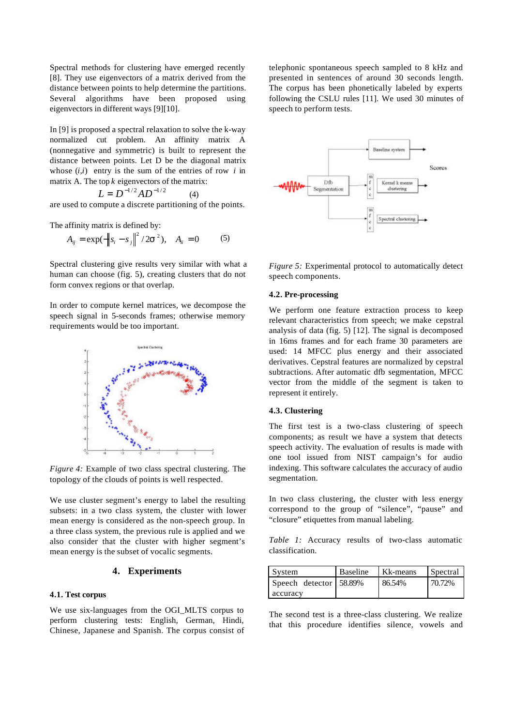Spectral methods for clustering have emerged recently [8]. They use eigenvectors of a matrix derived from the distance between points to help determine the partitions. Several algorithms have been proposed using eigenvectors in different ways [9][10].

In [9] is proposed a spectral relaxation to solve the k-way normalized cut problem. An affinity matrix A (nonnegative and symmetric) is built to represent the distance between points. Let D be the diagonal matrix whose  $(i,i)$  entry is the sum of the entries of row  $i$  in matrix A. The top *k* eigenvectors of the matrix:

$$
L = D^{-1/2} A D^{-1/2} \tag{4}
$$

are used to compute a discrete partitioning of the points.

The affinity matrix is defined by:

$$
A_{ij} = \exp(-\left\|s_i - s_j\right\|^2 / 2\mathbf{s}^2), \quad A_{ii} = 0 \tag{5}
$$

Spectral clustering give results very similar with what a human can choose (fig. 5), creating clusters that do not form convex regions or that overlap.

In order to compute kernel matrices, we decompose the speech signal in 5-seconds frames; otherwise memory requirements would be too important.



*Figure 4:* Example of two class spectral clustering. The topology of the clouds of points is well respected.

We use cluster segment's energy to label the resulting subsets: in a two class system, the cluster with lower mean energy is considered as the non-speech group. In a three class system, the previous rule is applied and we also consider that the cluster with higher segment's mean energy is the subset of vocalic segments.

## **4. Experiments**

#### **4.1. Test corpus**

We use six-languages from the OGI MLTS corpus to perform clustering tests: English, German, Hindi, Chinese, Japanese and Spanish. The corpus consist of telephonic spontaneous speech sampled to 8 kHz and presented in sentences of around 30 seconds length. The corpus has been phonetically labeled by experts following the CSLU rules [11]. We used 30 minutes of speech to perform tests.



*Figure 5:* Experimental protocol to automatically detect speech components.

#### **4.2. Pre-processing**

We perform one feature extraction process to keep relevant characteristics from speech; we make cepstral analysis of data (fig. 5) [12]. The signal is decomposed in 16ms frames and for each frame 30 parameters are used: 14 MFCC plus energy and their associated derivatives. Cepstral features are normalized by cepstral subtractions. After automatic dfb segmentation, MFCC vector from the middle of the segment is taken to represent it entirely.

#### **4.3. Clustering**

The first test is a two-class clustering of speech components; as result we have a system that detects speech activity. The evaluation of results is made with one tool issued from NIST campaign's for audio indexing. This software calculates the accuracy of audio segmentation.

In two class clustering, the cluster with less energy correspond to the group of "silence", "pause" and "closure" etiquettes from manual labeling.

*Table 1:* Accuracy results of two-class automatic classification.

| System                 | <b>Baseline</b> | Kk-means | Spectral |
|------------------------|-----------------|----------|----------|
| Speech detector 58.89% |                 | 86.54%   | 70.72%   |
| accuracy               |                 |          |          |

The second test is a three-class clustering. We realize that this procedure identifies silence, vowels and